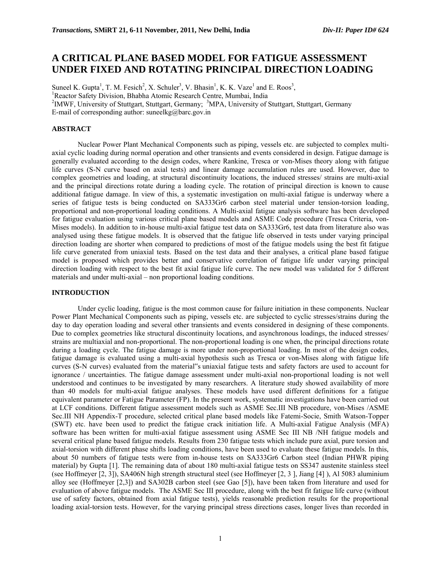# **A CRITICAL PLANE BASED MODEL FOR FATIGUE ASSESSMENT UNDER FIXED AND ROTATING PRINCIPAL DIRECTION LOADING**

Suneel K. Gupta<sup>1</sup>, T. M. Fesich<sup>2</sup>, X. Schuler<sup>3</sup>, V. Bhasin<sup>1</sup>, K. K. Vaze<sup>1</sup> and E. Roos<sup>3</sup>, <sup>1</sup>Reactor Safety Division, Bhabha Atomic Research Centre, Mumbai, India <sup>2</sup>IMWF, University of Stuttgart, Stuttgart, Germany; <sup>3</sup>MPA, University of Stuttgart, Stuttgart, Germany E-mail of corresponding author: suneelkg@barc.gov.in

# **ABSTRACT**

Nuclear Power Plant Mechanical Components such as piping, vessels etc. are subjected to complex multiaxial cyclic loading during normal operation and other transients and events considered in design. Fatigue damage is generally evaluated according to the design codes, where Rankine, Tresca or von-Mises theory along with fatigue life curves (S-N curve based on axial tests) and linear damage accumulation rules are used. However, due to complex geometries and loading, at structural discontinuity locations, the induced stresses/ strains are multi-axial and the principal directions rotate during a loading cycle. The rotation of principal direction is known to cause additional fatigue damage. In view of this, a systematic investigation on multi-axial fatigue is underway where a series of fatigue tests is being conducted on SA333Gr6 carbon steel material under tension-torsion loading, proportional and non-proportional loading conditions. A Multi-axial fatigue analysis software has been developed for fatigue evaluation using various critical plane based models and ASME Code procedure (Tresca Criteria, von-Mises models). In addition to in-house multi-axial fatigue test data on SA333Gr6, test data from literature also was analysed using these fatigue models. It is observed that the fatigue life observed in tests under varying principal direction loading are shorter when compared to predictions of most of the fatigue models using the best fit fatigue life curve generated from uniaxial tests. Based on the test data and their analyses, a critical plane based fatigue model is proposed which provides better and conservative correlation of fatigue life under varying principal direction loading with respect to the best fit axial fatigue life curve. The new model was validated for 5 different materials and under multi-axial – non proportional loading conditions.

## **INTRODUCTION**

Under cyclic loading, fatigue is the most common cause for failure initiation in these components. Nuclear Power Plant Mechanical Components such as piping, vessels etc. are subjected to cyclic stresses/strains during the day to day operation loading and several other transients and events considered in designing of these components. Due to complex geometries like structural discontinuity locations, and asynchronous loadings, the induced stresses/ strains are multiaxial and non-proportional. The non-proportional loading is one when, the principal directions rotate during a loading cycle. The fatigue damage is more under non-proportional loading. In most of the design codes, fatigue damage is evaluated using a multi-axial hypothesis such as Tresca or von-Mises along with fatigue life curves (S-N curves) evaluated from the material"s uniaxial fatigue tests and safety factors are used to account for ignorance / uncertainties. The fatigue damage assessment under multi-axial non-proportional loading is not well understood and continues to be investigated by many researchers. A literature study showed availability of more than 40 models for multi-axial fatigue analyses. These models have used different definitions for a fatigue equivalent parameter or Fatigue Parameter (FP). In the present work, systematic investigations have been carried out at LCF conditions. Different fatigue assessment models such as ASME Sec.III NB procedure, von-Mises /ASME Sec.III NH Appendix-T procedure, selected critical plane based models like Fatemi-Socie, Smith Watson-Topper (SWT) etc. have been used to predict the fatigue crack initiation life. A Multi-axial Fatigue Analysis (MFA) software has been written for multi-axial fatigue assessment using ASME Sec III NB /NH fatigue models and several critical plane based fatigue models. Results from 230 fatigue tests which include pure axial, pure torsion and axial-torsion with different phase shifts loading conditions, have been used to evaluate these fatigue models. In this, about 50 numbers of fatigue tests were from in-house tests on SA333Gr6 Carbon steel (Indian PHWR piping material) by Gupta [1]. The remaining data of about 180 multi-axial fatigue tests on SS347 austenite stainless steel (see Hoffmeyer [2, 3]), SA406N high strength structural steel (see Hoffmeyer [2, 3 ], Jiang [4] ), Al 5083 aluminium alloy see (Hoffmeyer [2,3]) and SA302B carbon steel (see Gao [5]), have been taken from literature and used for evaluation of above fatigue models. The ASME Sec III procedure, along with the best fit fatigue life curve (without use of safety factors, obtained from axial fatigue tests), yields reasonable prediction results for the proportional loading axial-torsion tests. However, for the varying principal stress directions cases, longer lives than recorded in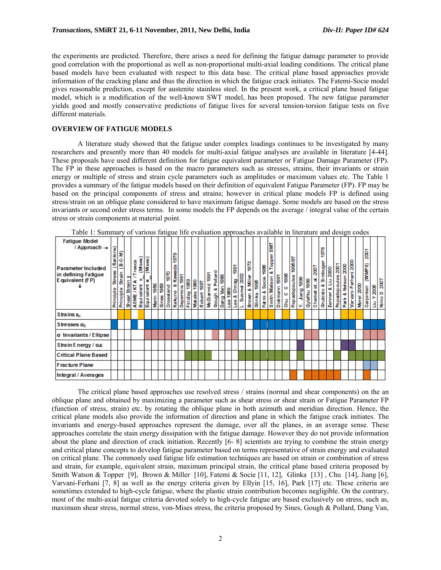the experiments are predicted. Therefore, there arises a need for defining the fatigue damage parameter to provide good correlation with the proportional as well as non-proportional multi-axial loading conditions. The critical plane based models have been evaluated with respect to this data base. The critical plane based approaches provide information of the cracking plane and thus the direction in which the fatigue crack initiates. The Fatemi-Socie model gives reasonable prediction, except for austenite stainless steel. In the present work, a critical plane based fatigue model, which is a modification of the well-known SWT model, has been proposed. The new fatigue parameter yields good and mostly conservative predictions of fatigue lives for several tension-torsion fatigue tests on five different materials.

# **OVERVIEW OF FATIGUE MODELS**

A literature study showed that the fatigue under complex loadings continues to be investigated by many researchers and presently more than 40 models for multi-axial fatigue analyses are available in literature [4-44]. These proposals have used different definition for fatigue equivalent parameter or Fatigue Damage Parameter (FP). The FP in these approaches is based on the macro parameters such as stresses, strains, their invariants or strain energy or multiple of stress and strain cycle parameters such as amplitudes or maximum values etc. The Table 1 provides a summary of the fatigue models based on their definition of equivalent Fatigue Parameter (FP). FP may be based on the principal components of stress and strains; however in critical plane models FP is defined using stress/strain on an oblique plane considered to have maximum fatigue damage. Some models are based on the stress invariants or second order stress terms. In some models the FP depends on the average / integral value of the certain stress or strain components at material point.

| <b>Fatigue Model</b><br>/ Approach $\rightarrow$<br>Parameter Included<br>in defining Fatigue<br>E quivalent (FP) | Rankine)<br>÷<br>Stress<br>Principle | $(B - C - M)$<br>Strain<br>Principle | Strain<br>Sheer<br>Sheer | 8<br>Ĕ<br>ς | (Mses)<br>w<br>ASME / KT/<br>Equivalent | (Mses)<br>ь<br>Equivalent | 1956<br>Marin | 88<br>1980<br>Sines | 970<br>na<br>an<br>Crossi | 1979<br>Kawada<br>٥ö<br>Kakuno | ∲§<br>Deperrois | <b>989</b><br>Findley | 1980<br><b>Matake</b> | 1997<br>Robert | ğ<br>McDiarmid | Pollard<br>٥ö<br>Gough | 88<br>ۄ<br>Damg | <u>Lee 1989</u> | <u>ត្ត</u><br>8<br>န်<br>٥ö<br>နီ | 2002<br>L, Susme | eze.<br>a<br>Si<br>٥ő<br>Brown | 88<br>Glinka | 88<br>Socie<br>٥ö<br>ie in i | 틞<br>Topper<br>сő<br>Watson<br>Smith | 1991<br>Dietmann | ģ.<br>o<br>o<br>롱 | 1995.97<br><b>Popadopoulos</b> | 88<br>Jang<br>× | 1989<br>Qylafku | 2007<br>Ť<br>ť<br>Chamat | င္စီ<br>᠇<br>Simbuger<br>٥ö<br>٥<br>Grubisi | 2000<br>₫<br>oð<br><b>Zenner</b> | Popadopoulos 2001 | 3000<br>5<br>90<br>Ž<br>٥ð<br>Ě | Varvani-Ferhani 2000 | 2000<br>Morel | $\overline{200}$<br>(WWM)<br>Carpinteri | 300S<br>×<br>В | Ninio D. 2007 |
|-------------------------------------------------------------------------------------------------------------------|--------------------------------------|--------------------------------------|--------------------------|-------------|-----------------------------------------|---------------------------|---------------|---------------------|---------------------------|--------------------------------|-----------------|-----------------------|-----------------------|----------------|----------------|------------------------|-----------------|-----------------|-----------------------------------|------------------|--------------------------------|--------------|------------------------------|--------------------------------------|------------------|-------------------|--------------------------------|-----------------|-----------------|--------------------------|---------------------------------------------|----------------------------------|-------------------|---------------------------------|----------------------|---------------|-----------------------------------------|----------------|---------------|
| Strains <sub>5</sub>                                                                                              |                                      |                                      |                          |             |                                         |                           |               |                     |                           |                                |                 |                       |                       |                |                |                        |                 |                 |                                   |                  |                                |              |                              |                                      |                  |                   |                                |                 |                 |                          |                                             |                                  |                   |                                 |                      |               |                                         |                |               |
| Stresses on                                                                                                       |                                      |                                      |                          |             |                                         |                           |               |                     |                           |                                |                 |                       |                       |                |                |                        |                 |                 |                                   |                  |                                |              |                              |                                      |                  |                   |                                |                 |                 |                          |                                             |                                  |                   |                                 |                      |               |                                         |                |               |
| σ Invariants / Ellipse                                                                                            |                                      |                                      |                          |             |                                         |                           |               |                     |                           |                                |                 |                       |                       |                |                |                        |                 |                 |                                   |                  |                                |              |                              |                                      |                  |                   |                                |                 |                 |                          |                                             |                                  |                   |                                 |                      |               |                                         |                |               |
| Strain Energy / σ.ε                                                                                               |                                      |                                      |                          |             |                                         |                           |               |                     |                           |                                |                 |                       |                       |                |                |                        |                 |                 |                                   |                  |                                |              |                              |                                      |                  |                   |                                |                 |                 |                          |                                             |                                  |                   |                                 |                      |               |                                         |                |               |
| <b>Critical Plane Based</b>                                                                                       |                                      |                                      |                          |             |                                         |                           |               |                     |                           |                                |                 |                       |                       |                |                |                        |                 |                 |                                   |                  |                                |              |                              |                                      |                  |                   |                                |                 |                 |                          |                                             |                                  |                   |                                 |                      |               |                                         |                |               |
| <b>Fracture Plane</b>                                                                                             |                                      |                                      |                          |             |                                         |                           |               |                     |                           |                                |                 |                       |                       |                |                |                        |                 |                 |                                   |                  |                                |              |                              |                                      |                  |                   |                                |                 |                 |                          |                                             |                                  |                   |                                 |                      |               |                                         |                |               |
| Integral / Averages                                                                                               |                                      |                                      |                          |             |                                         |                           |               |                     |                           |                                |                 |                       |                       |                |                |                        |                 |                 |                                   |                  |                                |              |                              |                                      |                  |                   |                                |                 |                 |                          |                                             |                                  |                   |                                 |                      |               |                                         |                |               |

Table 1: Summary of various fatigue life evaluation approaches available in literature and design codes

The critical plane based approaches use resolved stress / strains (normal and shear components) on the an oblique plane and obtained by maximizing a parameter such as shear stress or shear strain or Fatigue Parameter FP (function of stress, strain) etc. by rotating the oblique plane in both azimuth and meridian direction. Hence, the critical plane models also provide the information of direction and plane in which the fatigue crack initiates. The invariants and energy-based approaches represent the damage, over all the planes, in an average sense. These approaches correlate the stain energy dissipation with the fatigue damage. However they do not provide information about the plane and direction of crack initiation. Recently [6- 8] scientists are trying to combine the strain energy and critical plane concepts to develop fatigue parameter based on terms representative of strain energy and evaluated on critical plane. The commonly used fatigue life estimation techniques are based on strain or combination of stress and strain, for example, equivalent strain, maximum principal strain, the critical plane based criteria proposed by Smith Watson & Topper [9], Brown & Miller [10], Fatemi & Socie [11, 12], Glinka [13], Chu [14], Jiang [6], Varvani-Ferhani [7, 8] as well as the energy criteria given by Ellyin [15, 16], Park [17] etc. These criteria are sometimes extended to high-cycle fatigue, where the plastic strain contribution becomes negligible. On the contrary, most of the multi-axial fatigue criteria devoted solely to high-cycle fatigue are based exclusively on stress, such as, maximum shear stress, normal stress, von-Mises stress, the criteria proposed by Sines, Gough & Pollard, Dang Van,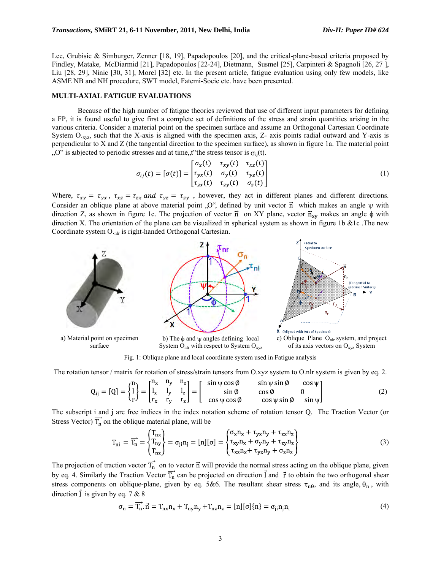Lee, Grubisic & Simburger, Zenner [18, 19], Papadopoulos [20], and the critical-plane-based criteria proposed by Findley, Matake, McDiarmid [21], Papadopoulos [22-24], Dietmann, Susmel [25], Carpinteri & Spagnoli [26, 27 ], Liu [28, 29], Ninic [30, 31], Morel [32] etc. In the present article, fatigue evaluation using only few models, like ASME NB and NH procedure, SWT model, Fatemi-Socie etc. have been presented.

## **MULTI-AXIAL FATIGUE EVALUATIONS**

Because of the high number of fatigue theories reviewed that use of different input parameters for defining a FP, it is found useful to give first a complete set of definitions of the stress and strain quantities arising in the various criteria. Consider a material point on the specimen surface and assume an Orthogonal Cartesian Coordinate System  $O_{xyz}$ , such that the X-axis is aligned with the specimen axis, Z- axis points radial outward and Y-axis is perpendicular to X and Z (the tangential direction to the specimen surface), as shown in figure 1a. The material point  $\Omega$ " is subjected to periodic stresses and at time, the stress tensor is  $\sigma_{ii}(t)$ .

$$
\sigma_{ij}(t) = [\sigma(t)] = \begin{bmatrix} \sigma_x(t) & \tau_{xy}(t) & \tau_{xz}(t) \\ \tau_{yx}(t) & \sigma_y(t) & \tau_{yz}(t) \\ \tau_{zx}(t) & \tau_{zy}(t) & \sigma_z(t) \end{bmatrix}
$$
\n(1)

Where,  $\tau_{xy} = \tau_{yx}$ ,  $\tau_{xz} = \tau_{zx}$  and  $\tau_{yz} = \tau_{zy}$ , however, they act in different planes and different directions. Consider an oblique plane at above material point  $[0, 0]$ , defined by unit vector  $\vec{n}$  which makes an angle  $\psi$  with direction Z, as shown in figure 1c. The projection of vector  $\vec{n}$  on XY plane, vector  $\vec{n}_{xy}$  makes an angle  $\phi$  with direction X. The orientation of the plane can be visualized in spherical system as shown in figure 1b &1c. The new Coordinate system O.<sub>nlr</sub> is right-handed Orthogonal Cartesian.



Fig. 1: Oblique plane and local coordinate system used in Fatigue analysis

The rotation tensor / matrix for rotation of stress/strain tensors from O.xyz system to O.nlr system is given by eq. 2.

$$
Q_{ij} = [Q] = \begin{Bmatrix} n_1 \\ l_1 \\ r \end{Bmatrix} = \begin{bmatrix} n_x & n_y & n_z \\ l_x & l_y & l_z \\ r_x & r_y & r_z \end{bmatrix} = \begin{bmatrix} \sin \psi \cos \phi & \sin \psi \sin \phi & \cos \psi \\ -\sin \phi & \cos \phi & 0 \\ -\cos \psi \cos \phi & -\cos \psi \sin \phi & \sin \psi \end{bmatrix}
$$
(2)

The subscript i and j are free indices in the index notation scheme of rotation tensor Q. The Traction Vector (or Stress Vector)  $\overrightarrow{T_n}$  on the oblique material plane, will be

$$
T_{ni} = \overrightarrow{T_n} = \begin{Bmatrix} T_{nx} \\ T_{ny} \\ T_{nz} \end{Bmatrix} = \sigma_{ji} n_j = \lfloor n \rfloor [\sigma] = \begin{Bmatrix} \sigma_x n_x + \tau_{yx} n_y + \tau_{zx} n_z \\ \tau_{xy} n_x + \sigma_y n_y + \tau_{zy} n_z \\ \tau_{xz} n_x + \tau_{yz} n_y + \sigma_z n_z \end{Bmatrix}
$$
(3)

The projection of traction vector  $T_n$  on to vector  $\vec{n}$  will provide the normal stress acting on the oblique plane, given by eq. 4. Similarly the Traction Vector  $T_n$  can be projected on direction l and  $\vec{r}$  to obtain the two orthogonal shear stress components on oblique-plane, given by eq. 5&6. The resultant shear stress  $\tau_{n\theta}$ , and its angle,  $\theta_n$ , with direction  $\vec{l}$  is given by eq. 7 & 8

$$
\sigma_{\mathbf{n}} = \overline{\mathbf{T}_{\mathbf{n}}}, \overrightarrow{\mathbf{n}} = \mathbf{T}_{\mathbf{n}\mathbf{x}} \mathbf{n}_{\mathbf{x}} + \mathbf{T}_{\mathbf{n}\mathbf{y}} \mathbf{n}_{\mathbf{y}} + \mathbf{T}_{\mathbf{n}\mathbf{z}} \mathbf{n}_{\mathbf{z}} = \lfloor \mathbf{n} \rfloor [\sigma] \{ \mathbf{n} \} = \sigma_{\mathbf{j} \mathbf{i}} \mathbf{n}_{\mathbf{j}} \mathbf{n}_{\mathbf{i}} \tag{4}
$$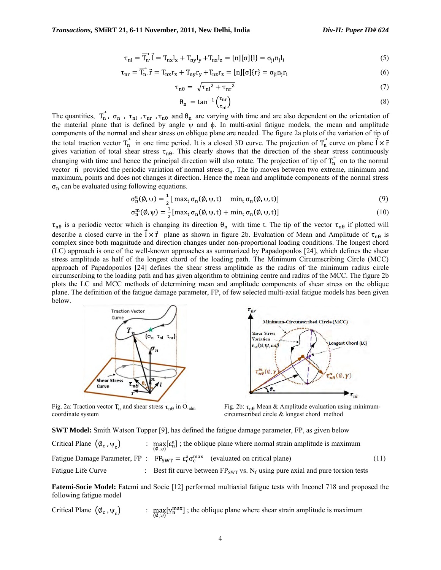$$
\tau_{\rm nl} = \overrightarrow{T}_{\rm n}. \overrightarrow{I} = T_{\rm nx} I_{\rm x} + T_{\rm ny} I_{\rm y} + T_{\rm nz} I_{\rm z} = \lfloor \mathbf{n} \rfloor [\sigma] \{l\} = \sigma_{\rm ji} \mathbf{n}_{\rm j} I_{\rm i}
$$
\n
$$
\tag{5}
$$

$$
\tau_{\rm nr} = \overrightarrow{T}_{\rm n} \cdot \vec{r} = T_{\rm nx} r_{\rm x} + T_{\rm ny} r_{\rm y} + T_{\rm nz} r_{\rm z} = \lfloor n \rfloor [\sigma] \{r\} = \sigma_{\rm ji} n_{\rm j} r_{\rm i} \tag{6}
$$

$$
\tau_{\rm n\theta} = \sqrt{\tau_{\rm nl}^2 + \tau_{\rm nr}^2} \tag{7}
$$

$$
\theta_{n} = \tan^{-1}\left(\frac{\tau_{nr}}{\tau_{nl}}\right) \tag{8}
$$

The quantities,  $\overrightarrow{T_n}$ ,  $\sigma_n$ ,  $\tau_{n1}$ ,  $\tau_{nr}$ ,  $\tau_{n0}$  and  $\theta_n$  are varying with time and are also dependent on the orientation of the material plane that is defined by angle  $\psi$  and  $\phi$ . In multi-axial fatigue models, the mean and amplitude components of the normal and shear stress on oblique plane are needed. The figure 2a plots of the variation of tip of the total traction vector  $\overrightarrow{T_n}$  in one time period. It is a closed 3D curve. The projection of  $\overrightarrow{T_n}$  curve on plane  $\overrightarrow{l} \times \overrightarrow{r}$ gives variation of total shear stress  $\tau_{n\theta}$ . This clearly shows that the direction of the shear stress continuously changing with time and hence the principal direction will also rotate. The projection of tip of  $T_n$  on to the normal vector  $\vec{n}$  provided the periodic variation of normal stress  $\sigma_n$ . The tip moves between two extreme, minimum and maximum, points and does not changes it direction. Hence the mean and amplitude components of the normal stress  $\sigma_n$  can be evaluated using following equations.

$$
\sigma_n^a(\emptyset, \psi) = \frac{1}{2} [\max_t \sigma_n(\emptyset, \psi, t) - \min_t \sigma_n(\emptyset, \psi, t)] \tag{9}
$$

$$
\sigma_n^m(\emptyset, \psi) = \frac{1}{2} [\max_t \sigma_n(\emptyset, \psi, t) + \min_t \sigma_n(\emptyset, \psi, t)] \tag{10}
$$

 $\tau_{n\theta}$  is a periodic vector which is changing its direction  $\theta_n$  with time t. The tip of the vector  $\tau_{n\theta}$  if plotted will describe a closed curve in the  $\vec{l} \times \vec{r}$  plane as shown in figure 2b. Evaluation of Mean and Amplitude of  $\tau_{n\theta}$  is complex since both magnitude and direction changes under non-proportional loading conditions. The longest chord (LC) approach is one of the well-known approaches as summarized by Papadopoulos [24], which defines the shear stress amplitude as half of the longest chord of the loading path. The Minimum Circumscribing Circle (MCC) approach of Papadopoulos [24] defines the shear stress amplitude as the radius of the minimum radius circle circumscribing to the loading path and has given algorithm to obtaining centre and radius of the MCC. The figure 2b plots the LC and MCC methods of determining mean and amplitude components of shear stress on the oblique plane. The definition of the fatigue damage parameter, FP, of few selected multi-axial fatigue models has been given below.



 $\tau_{nr}$ Minimum-Circumscribed Circle (MCC) **Shear Stress Variation** Longest Chord (LC)  $t_{n\theta}(\emptyset, \psi, \omega t)$  $\tau_{n\theta}^{m}(\emptyset)$ ኒθ,

Fig. 2a: Traction vector  $T_n$  and shear stress  $\tau_{n\theta}$  in O.<sub>nlm</sub> coordinate system



**SWT Model:** Smith Watson Topper [9], has defined the fatigue damage parameter, FP, as given below Critical Plane  $(\phi_c, \psi_c)$  :  $\max_{(\phi_w)}[\epsilon_n^a]$ ; the oblique plane where normal strain amplitude is maximum Fatigue Damage Parameter, FP :  $FP_{SWT} = \varepsilon_c^a \sigma_c^{max}$  (evaluated on critical plane) (11) Fatigue Life Curve  $\cdot$  Best fit curve between  $FP_{SWT}$  vs.  $N_f$  using pure axial and pure torsion tests

**Fatemi-Socie Model:** Fatemi and Socie [12] performed multiaxial fatigue tests with Inconel 718 and proposed the following fatigue model

Critical Plane  $(\phi_c, \psi_c)$  :  $\max_{(\phi_w)} [\gamma_n^{\max}]$ ; the oblique plane where shear strain amplitude is maximum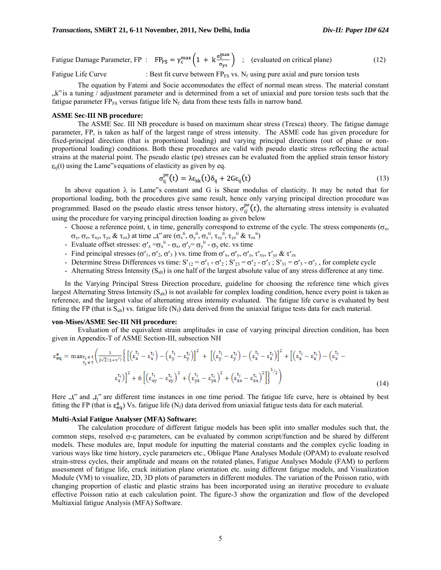Fatigue Damage Parameter, FP :  $FP_{FS} = \gamma_c^{max} \left( 1 + k \frac{\sigma_c^{max}}{\sigma_{vs}} \right)$  ; (evaluated on critical plane) (12)

Fatigue Life Curve  $\cdot$  Best fit curve between FP<sub>FS</sub> vs. N<sub>f</sub> using pure axial and pure torsion tests

The equation by Fatemi and Socie accommodates the effect of normal mean stress. The material constant  $k$ " is a tuning / adjustment parameter and is determined from a set of uniaxial and pure torsion tests such that the fatigue parameter  $FP_{FS}$  versus fatigue life  $N_f$  data from these tests falls in narrow band.

#### **ASME Sec-III NB procedure:**

The ASME Sec. III NB procedure is based on maximum shear stress (Tresca) theory. The fatigue damage parameter, FP, is taken as half of the largest range of stress intensity. The ASME code has given procedure for fixed-principal direction (that is proportional loading) and varying principal directions (out of phase or nonproportional loading) conditions. Both these procedures are valid with pseudo elastic stress reflecting the actual strains at the material point. The pseudo elastic (pe) stresses can be evaluated from the applied strain tensor history  $_{ij}(t)$  using the Lame"s equations of elasticity as given by eq.

$$
\sigma_{ii}^{pe}(t) = \lambda \varepsilon_{kk}(t) \delta_{ii} + 2G\varepsilon_{ii}(t)
$$
\n(13)

In above equation  $\lambda$  is Lame"s constant and G is Shear modulus of elasticity. It may be noted that for proportional loading, both the procedures give same result, hence only varying principal direction procedure was programmed. Based on the pseudo elastic stress tensor history,  $\sigma_{ij}^{pe}(t)$ , the alternating stress intensity is evaluated using the procedure for varying principal direction loading as given below

- Choose a reference point,  $t_i$  in time, generally correspond to extreme of the cycle. The stress components ( $\sigma_x$ ,
- $v_y$ ,  $\sigma_z$ ,  $\tau_{xy}$ ,  $\tau_{yz}$  &  $\tau_{zx}$ ) at time  $\mathcal{F}_x$ <sup>ti</sup> are  $(\sigma_x^{\text{ti}}, \sigma_y^{\text{ti}}, \sigma_z^{\text{ti}}, \tau_{xy}^{\text{ti}}, \tau_{yz}^{\text{ti}})$
- Evaluate offset stresses:  $\sigma'_x = \sigma_x^{t_i} \sigma_x$ ,  $\sigma'_y = \sigma_y^{t_i} \sigma_y$  etc. vs time
- Find principal stresses ( $\sigma'$ <sub>1</sub>,  $\sigma'$ <sub>2</sub>,  $\sigma'$ <sub>3</sub>) vs. time from  $\sigma'$ <sub>x</sub>,  $\sigma'$ <sub>y</sub>,  $\sigma'$ <sub>z</sub>,  $\tau'$ <sub>xy</sub>,  $\tau'$ <sub>yz</sub> &  $\tau'$ <sub>zx</sub>
- Determine Stress Differences vs time:  $S'_{12} = \sigma'_{1} \sigma'_{2}$ ;  $S'_{23} = \sigma'_{2} \sigma'_{3}$ ;  $S'_{31} = \sigma'_{3} \sigma'_{1}$ , for complete cycle
- Alternating Stress Intensity  $(S_{alt})$  is one half of the largest absolute value of any stress difference at any time.

In the Varying Principal Stress Direction procedure, guideline for choosing the reference time which gives largest Alternating Stress Intensity  $(S_{alt})$  is not available for complex loading condition, hence every point is taken as reference, and the largest value of alternating stress intensity evaluated. The fatigue life curve is evaluated by best fitting the FP (that is  $S_{alt}$ ) vs. fatigue life ( $N_f$ ) data derived from the uniaxial fatigue tests data for each material.

#### **von-Mises/ASME Sec-III NH procedure:**

Evaluation of the equivalent strain amplitudes in case of varying principal direction condition, has been given in Appendix-T of ASME Section-III, subsection NH

$$
\epsilon_{eq}^{a} = \max_{t_i \in t} \left( \frac{1}{2\sqrt{2}(1+v')} \left\{ \left[ \left( \epsilon_x^{t_j} - \epsilon_x^{t_i} \right) - \left( \epsilon_y^{t_j} - \epsilon_y^{t_i} \right) \right]^2 \right. \right. + \left. \left[ \left( \epsilon_y^{t_j} - \epsilon_y^{t_i} \right) - \left( \epsilon_z^{t_j} - \epsilon_z^{t_i} \right) \right]^2 + \left[ \left( \epsilon_z^{t_j} - \epsilon_z^{t_i} \right) - \left( \epsilon_z^{t_j} - \epsilon_z^{t_i} \right) \right]^2 \right\}^2 + \left( \epsilon_x^{t_i} - \epsilon_x^{t_i} \right)^2 + \left( \epsilon_{xx}^{t_i} - \epsilon_{yy}^{t_i} \right)^2 + \left( \epsilon_{yy}^{t_j} - \epsilon_{yz}^{t_i} \right)^2 + \left( \epsilon_{zz}^{t_j} - \epsilon_{zx}^{t_i} \right)^2 \right)^{1/2} \right)
$$
\n(14)

Here "t" and "t<sub>i</sub>" are different time instances in one time period. The fatigue life curve, here is obtained by best fitting the FP (that is  $\varepsilon_{eq}^{a}$ ) Vs. fatigue life (N<sub>f</sub>) data derived from uniaxial fatigue tests data for each material.

#### **Multi-Axial Fatigue Analyser (MFA) Software:**

The calculation procedure of different fatigue models has been split into smaller modules such that, the common steps, resolved  $\sigma$ - $\varepsilon$  parameters, can be evaluated by common script/function and be shared by different models. These modules are, Input module for inputting the material constants and the complex cyclic loading in various ways like time history, cycle parameters etc., Oblique Plane Analyses Module (OPAM) to evaluate resolved strain-stress cycles, their amplitude and means on the rotated planes, Fatigue Analyses Module (FAM) to perform assessment of fatigue life, crack initiation plane orientation etc. using different fatigue models, and Visualization Module (VM) to visualize, 2D, 3D plots of parameters in different modules. The variation of the Poisson ratio, with changing proportion of elastic and plastic strains has been incorporated using an iterative procedure to evaluate effective Poisson ratio at each calculation point. The figure-3 show the organization and flow of the developed Multiaxial fatigue Analysis (MFA) Software.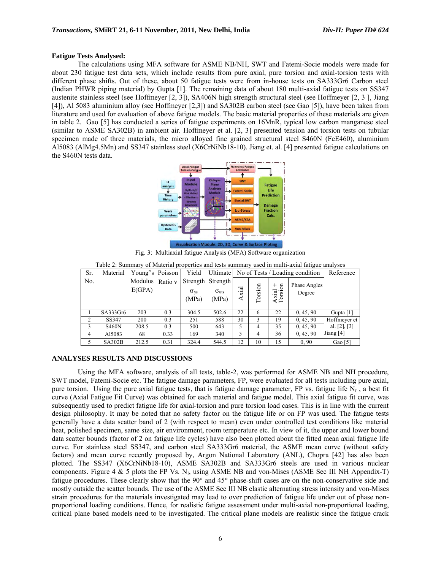# **Fatigue Tests Analysed:**

The calculations using MFA software for ASME NB/NH, SWT and Fatemi-Socie models were made for about 230 fatigue test data sets, which include results from pure axial, pure torsion and axial-torsion tests with different phase shifts. Out of these, about 50 fatigue tests were from in-house tests on SA333Gr6 Carbon steel (Indian PHWR piping material) by Gupta [1]. The remaining data of about 180 multi-axial fatigue tests on SS347 austenite stainless steel (see Hoffmeyer [2, 3]), SA406N high strength structural steel (see Hoffmeyer [2, 3 ], Jiang [4]), Al 5083 aluminium alloy (see Hoffmeyer [2,3]) and SA302B carbon steel (see Gao [5]), have been taken from literature and used for evaluation of above fatigue models. The basic material properties of these materials are given in table 2. Gao [5] has conducted a series of fatigue experiments on 16MnR, typical low carbon manganese steel (similar to ASME SA302B) in ambient air. Hoffmeyer et al. [2, 3] presented tension and torsion tests on tubular specimen made of three materials, the micro alloyed fine grained structural steel S460N (FeE460), aluminium Al5083 (AlMg4.5Mn) and SS347 stainless steel (X6CrNiNb18-10). Jiang et. al. [4] presented fatigue calculations on the S460N tests data.



Fig. 3: Multiaxial fatigue Analysis (MFA) Software organization

| Sr.            | Material      | Young"s Poisson | Yield | Ultimate No of Tests / Loading condition | Reference         |       |         |              |              |                   |
|----------------|---------------|-----------------|-------|------------------------------------------|-------------------|-------|---------|--------------|--------------|-------------------|
| No.            |               | Modulus Ratio v |       |                                          | Strength Strength |       |         |              | Phase Angles |                   |
|                |               | E(GPA)          |       | $\sigma_{\rm vs}$                        | $\sigma_{uts}$    |       |         | $\mathbf{g}$ | Degree       |                   |
|                |               |                 |       | (MPa)                                    | (MPa)             | Axial | Torsion | xial<br>orsi |              |                   |
|                |               |                 |       |                                          |                   |       |         | ≺⊢           |              |                   |
|                | SA333Gr6      | 203             | 0.3   | 304.5                                    | 502.6             | 22    | 6       | 22           | 0, 45, 90    | Gupta $[1]$       |
| 2              | SS347         | 200             | 0.3   | 251                                      | 588               | 30    |         | 19           | 0, 45, 90    | Hoffmeyer et      |
| 3              | <b>S460N</b>  | 208.5           | 0.3   | 500                                      | 643               | 5     | 4       | 35           | 0, 45, 90    | al. $[2]$ , $[3]$ |
| $\overline{4}$ | A15083        | 68              | 0.33  | 169                                      | 340               | 5     | 4       | 36           | 0, 45, 90    | Jiang [4]         |
|                | <b>SA302B</b> | 212.5           | 0.31  | 324.4                                    | 544.5             | 12    | 10      | 15           | 0.90         | Gao $[5]$         |

| Table 2: Summary of Material properties and tests summary used in multi-axial fatigue analyses |  |
|------------------------------------------------------------------------------------------------|--|
|------------------------------------------------------------------------------------------------|--|

### **ANALYSES RESULTS AND DISCUSSIONS**

Using the MFA software, analysis of all tests, table-2, was performed for ASME NB and NH procedure, SWT model, Fatemi-Socie etc. The fatigue damage parameters, FP, were evaluated for all tests including pure axial, pure torsion. Using the pure axial fatigue tests, that is fatigue damage parameter, FP vs. fatigue life  $N_f$ , a best fit curve (Axial Fatigue Fit Curve) was obtained for each material and fatigue model. This axial fatigue fit curve, was subsequently used to predict fatigue life for axial-torsion and pure torsion load cases. This is in line with the current design philosophy. It may be noted that no safety factor on the fatigue life or on FP was used. The fatigue tests generally have a data scatter band of 2 (with respect to mean) even under controlled test conditions like material heat, polished specimen, same size, air environment, room temperature etc. In view of it, the upper and lower bound data scatter bounds (factor of 2 on fatigue life cycles) have also been plotted about the fitted mean axial fatigue life curve. For stainless steel SS347, and carbon steel SA333Gr6 material, the ASME mean curve (without safety factors) and mean curve recently proposed by, Argon National Laboratory (ANL), Chopra [42] has also been plotted. The SS347 (X6CrNiNb18-10), ASME SA302B and SA333Gr6 steels are used in various nuclear components. Figure 4 & 5 plots the FP Vs.  $N_f$ , using ASME NB and von-Mises (ASME Sec III NH Appendix-T) fatigue procedures. These clearly show that the  $90^{\circ}$  and  $45^{\circ}$  phase-shift cases are on the non-conservative side and mostly outside the scatter bounds. The use of the ASME Sec III NB elastic alternating stress intensity and von-Mises strain procedures for the materials investigated may lead to over prediction of fatigue life under out of phase nonproportional loading conditions. Hence, for realistic fatigue assessment under multi-axial non-proportional loading, critical plane based models need to be investigated. The critical plane models are realistic since the fatigue crack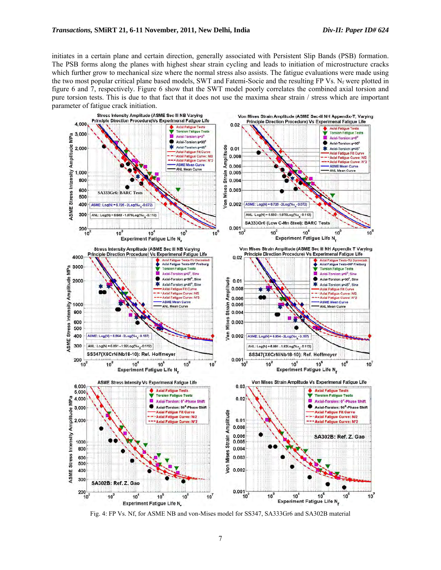initiates in a certain plane and certain direction, generally associated with Persistent Slip Bands (PSB) formation. The PSB forms along the planes with highest shear strain cycling and leads to initiation of microstructure cracks which further grow to mechanical size where the normal stress also assists. The fatigue evaluations were made using the two most popular critical plane based models, SWT and Fatemi-Socie and the resulting FP Vs.  $N_f$  were plotted in figure 6 and 7, respectively. Figure 6 show that the SWT model poorly correlates the combined axial torsion and pure torsion tests. This is due to that fact that it does not use the maxima shear strain / stress which are important parameter of fatigue crack initiation.



Fig. 4: FP Vs. Nf, for ASME NB and von-Mises model for SS347, SA333Gr6 and SA302B material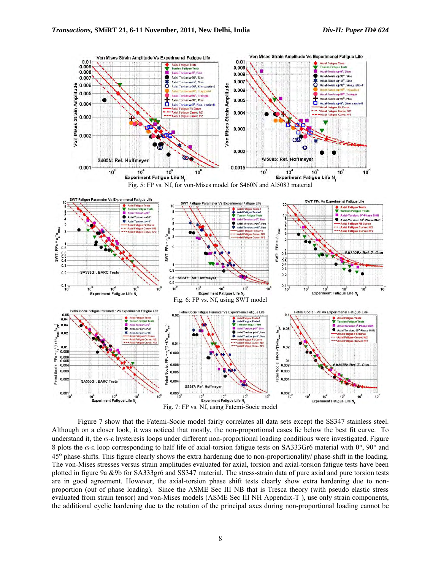

Figure 7 show that the Fatemi-Socie model fairly correlates all data sets except the SS347 stainless steel. Although on a closer look, it was noticed that mostly, the non-proportional cases lie below the best fit curve. To understand it, the  $\sigma$ - $\epsilon$  hysteresis loops under different non-proportional loading conditions were investigated. Figure 8 plots the  $\sigma$ - $\epsilon$  loop corresponding to half life of axial-torsion fatigue tests on SA333Gr6 material with 0°, 90° and 45 phase-shifts. This figure clearly shows the extra hardening due to non-proportionality/ phase-shift in the loading. The von-Mises stresses versus strain amplitudes evaluated for axial, torsion and axial-torsion fatigue tests have been plotted in figure 9a &9b for SA333gr6 and SS347 material. The stress-strain data of pure axial and pure torsion tests are in good agreement. However, the axial-torsion phase shift tests clearly show extra hardening due to nonproportion (out of phase loading). Since the ASME Sec III NB that is Tresca theory (with pseudo elastic stress evaluated from strain tensor) and von-Mises models (ASME Sec III NH Appendix-T ), use only strain components, the additional cyclic hardening due to the rotation of the principal axes during non-proportional loading cannot be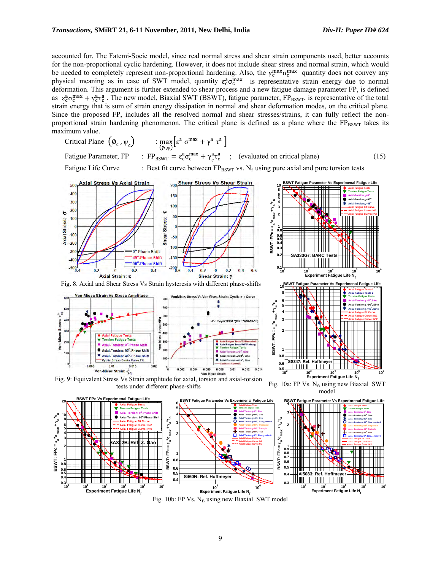accounted for. The Fatemi-Socie model, since real normal stress and shear strain components used, better accounts for the non-proportional cyclic hardening. However, it does not include shear stress and normal strain, which would be needed to completely represent non-proportional hardening. Also, the  $\gamma_c^{max} \sigma_c^{max}$  quantity does not convey any physical meaning as in case of SWT model, quantity  $\varepsilon_{\rm c}^{\rm a} \sigma_{\rm c}^{\rm max}$  is representative strain energy due to normal deformation. This argument is further extended to shear process and a new fatigue damage parameter FP, is defined as  $\varepsilon_0^a \sigma_c^{max} + \gamma_c^a \tau_c^a$ . The new model, Biaxial SWT (BSWT), fatigue parameter, FP<sub>BSWT</sub>, is representative of the total strain energy that is sum of strain energy dissipation in normal and shear deformation modes, on the critical plane. Since the proposed FP, includes all the resolved normal and shear stresses/strains, it can fully reflect the nonproportional strain hardening phenomenon. The critical plane is defined as a plane where the FPBSWT takes its maximum value.

$$
\text{Critical Plane } \left( \emptyset_c, \psi_c \right) \qquad \qquad : \max_{\left( \emptyset, \psi \right)} \left[ \varepsilon^a \, \sigma^{\max} + \gamma^a \, \tau^a \, \right]
$$

Fatigue Parameter, FP :  $FP_{BSWT} = \varepsilon_c^a \sigma_c^{max} + \gamma_c^a \tau_c^a$  ; (evaluated on critical plane) (15)

**0.4 0.5 0.6 0.8 1**

Fatigue Life Curve : Best fit curve between  $FP_{\text{BSWT}}$  vs. N<sub>f</sub> using pure axial and pure torsion tests



**0.6 0.7 0.8**

**0.8 1**

Fig. 10b: FP Vs. N<sub>f</sub>, using new Biaxial SWT model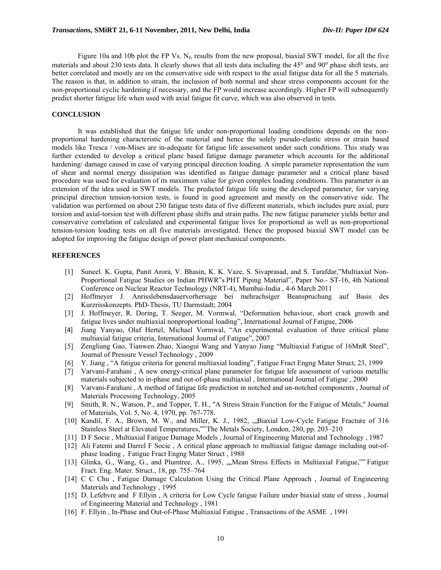Figure 10a and 10b plot the FP Vs.  $N_f$ , results from the new proposal, biaxial SWT model, for all the five materials and about 230 tests data. It clearly shows that all tests data including the  $45^\circ$  and  $90^\circ$  phase shift tests, are better correlated and mostly are on the conservative side with respect to the axial fatigue data for all the 5 materials. The reason is that, in addition to strain, the inclusion of both normal and shear stress components account for the non-proportional cyclic hardening if necessary, and the FP would increase accordingly. Higher FP will subsequently predict shorter fatigue life when used with axial fatigue fit curve, which was also observed in tests.

# **CONCLUSION**

It was established that the fatigue life under non-proportional loading conditions depends on the nonproportional hardening characteristic of the material and hence the solely pseudo-elastic stress or strain based models like Tresca / von-Mises are in-adequate for fatigue life assessment under such conditions. This study was further extended to develop a critical plane based fatigue damage parameter which accounts for the additional hardening/ damage caused in case of varying principal direction loading. A simple parameter representation the sum of shear and normal energy dissipation was identified as fatigue damage parameter and a critical plane based procedure was used for evaluation of its maximum value for given complex loading conditions. This parameter is an extension of the idea used in SWT models. The predicted fatigue life using the developed parameter, for varying principal direction tension-torsion tests, is found in good agreement and mostly on the conservative side. The validation was performed on about 230 fatigue tests data of five different materials, which includes pure axial, pure torsion and axial-torsion test with different phase shifts and strain paths. The new fatigue parameter yields better and conservative correlation of calculated and experimental fatigue lives for proportional as well as non-proportional tension-torsion loading tests on all five materials investigated. Hence the proposed biaxial SWT model can be adopted for improving the fatigue design of power plant mechanical components.

# **REFERENCES**

- [1] Suneel. K. Gupta, Punit Arora, V. Bhasin, K. K. Vaze, S. Sivaprasad, and S. Tarafdar,"Multiaxial Non-Proportional Fatigue Studies on Indian PHWR"s PHT Piping Material", Paper No.- ST-16, 4th National Conference on Nuclear Reactor Technology (NRT-4), Mumbai-India , 4-6 March 2011
- [2] Hoffmeyer J. Anrisslebensdauervorhersage bei mehrachsiger Beanspruchung auf Basis des Kurzrisskonzepts. PhD-Thesis, TU Darmstadt; 2004
- [3] J. Hoffmeyer, R. Doring, T. Seeger, M. Vormwal, "Deformation behaviour, short crack growth and fatigue lives under multiaxial nonproportional loading", International Journal of Fatigue, 2006
- [4] Jiang Yanyao, Olaf Hertel, Michael Vormwal, "An experimental evaluation of three critical plane multiaxial fatigue criteria, International Journal of Fatigue", 2007
- [5] Zengliang Gao, Tianwen Zhao, Xiaogui Wang and Yanyao Jiang "Multiaxial Fatigue of 16MnR Steel", Journal of Pressure Vessel Technology , 2009
- [6] Y. Jiang , "A fatigue criteria for general multiaxial loading", Fatigue Fract Engng Mater Struct, 23, 1999
- [7] Varvani-Farahani , A new energy-critical plane parameter for fatigue life assessment of various metallic materials subjected to in-phase and out-of-phase multiaxial , International Journal of Fatigue , 2000
- [8] Varvani-Farahani , A method of fatigue life prediction in notched and un-notched components , Journal of Materials Processing Technology, 2005
- [9] Smith, R. N., Watson, P., and Topper, T. H., "A Stress Strain Function for the Fatigue of Metals," Journal of Materials, Vol. 5, No. 4, 1970, pp. 767-778.
- [10] Kandil, F. A., Brown, M. W., and Miller, K. J., 1982, ...Biaxial Low-Cycle Fatigue Fracture of 316 Stainless Steel at Elevated Temperatures,"" The Metals Society, London, 280, pp. 203–210
- [11] D F Socie , Multiaxial Fatigue Damage Models , Journal of Engineering Material and Technology , 1987
- [12] Ali Fatemi and Darrel F Socie , A critical plane approach to multiaxial fatigue damage including out-ofphase loading , Fatigue Fract Engng Mater Struct , 1988
- [13] Glinka, G., Wang, G., and Plumtree, A., 1995, "Mean Stress Effects in Multiaxial Fatigue,"" Fatigue Fract. Eng. Mater. Struct., 18, pp. 755–764
- [14] C C Chu , Fatigue Damage Calculation Using the Critical Plane Approach , Journal of Engineering Materials and Technology , 1995
- [15] D. Lefebvre and F Ellyin , A criteria for Low Cycle fatigue Failure under biaxial state of stress , Journal of Engineering Material and Technology , 1981
- [16] F. Ellyin , In-Phase and Out-of-Phase Multiaxial Fatigue , Transactions of the ASME , 1991